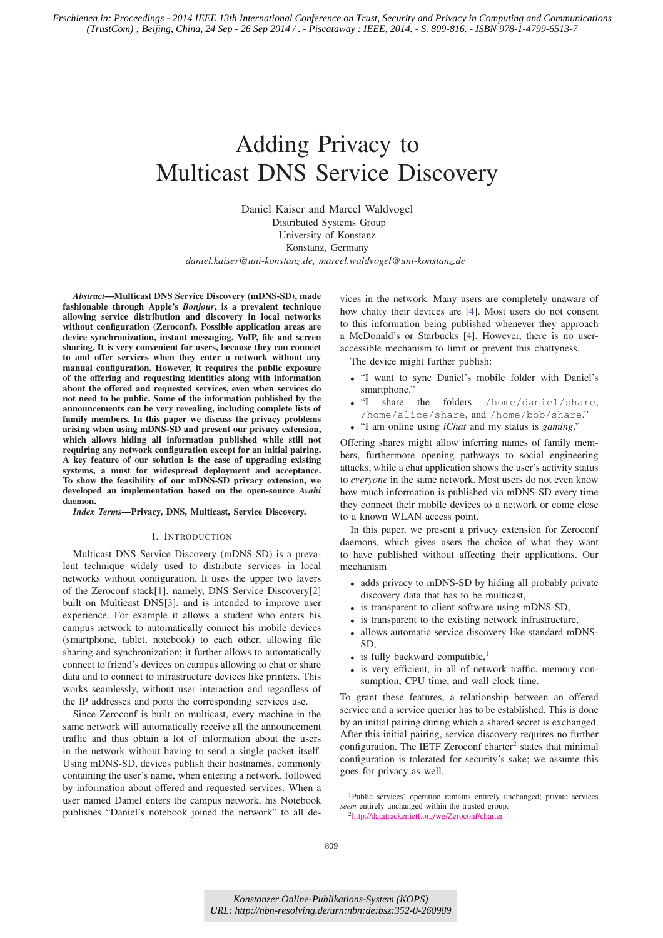# Adding Privacy to Multicast DNS Service Discovery

Daniel Kaiser and Marcel Waldvogel Distributed Systems Group University of Konstanz Konstanz, Germany *daniel.kaiser@uni-konstanz.de, marcel.waldvogel@uni-konstanz.de*

*Abstract*—Multicast DNS Service Discovery (mDNS-SD), made fashionable through Apple's *Bonjour*, is a prevalent technique allowing service distribution and discovery in local networks without configuration (Zeroconf). Possible application areas are device synchronization, instant messaging, VoIP, file and screen sharing. It is very convenient for users, because they can connect to and offer services when they enter a network without any manual configuration. However, it requires the public exposure of the offering and requesting identities along with information about the offered and requested services, even when services do not need to be public. Some of the information published by the announcements can be very revealing, including complete lists of family members. In this paper we discuss the privacy problems arising when using mDNS-SD and present our privacy extension, which allows hiding all information published while still not requiring any network configuration except for an initial pairing. A key feature of our solution is the ease of upgrading existing systems, a must for widespread deployment and acceptance. To show the feasibility of our mDNS-SD privacy extension, we developed an implementation based on the open-source *Avahi* daemon.

*Index Terms*—Privacy, DNS, Multicast, Service Discovery.

## I. INTRODUCTION

Multicast DNS Service Discovery (mDNS-SD) is a prevalent technique widely used to distribute services in local networks without configuration. It uses the upper two layers of the Zeroconf stack[1], namely, DNS Service Discovery[2] built on Multicast DNS[3], and is intended to improve user experience. For example it allows a student who enters his campus network to automatically connect his mobile devices (smartphone, tablet, notebook) to each other, allowing file sharing and synchronization; it further allows to automatically connect to friend's devices on campus allowing to chat or share data and to connect to infrastructure devices like printers. This works seamlessly, without user interaction and regardless of the IP addresses and ports the corresponding services use.

Since Zeroconf is built on multicast, every machine in the same network will automatically receive all the announcement traffic and thus obtain a lot of information about the users in the network without having to send a single packet itself. Using mDNS-SD, devices publish their hostnames, commonly containing the user's name, when entering a network, followed by information about offered and requested services. When a user named Daniel enters the campus network, his Notebook publishes "Daniel's notebook joined the network" to all devices in the network. Many users are completely unaware of how chatty their devices are [4]. Most users do not consent to this information being published whenever they approach a McDonald's or Starbucks [4]. However, there is no useraccessible mechanism to limit or prevent this chattyness.

The device might further publish:

- "I want to sync Daniel's mobile folder with Daniel's smartphone."
- "I share the folders /home/daniel/share, /home/alice/share, and /home/bob/share."
- "I am online using *iChat* and my status is *gaming*."

Offering shares might allow inferring names of family members, furthermore opening pathways to social engineering attacks, while a chat application shows the user's activity status to *everyone* in the same network. Most users do not even know how much information is published via mDNS-SD every time they connect their mobile devices to a network or come close to a known WLAN access point.

In this paper, we present a privacy extension for Zeroconf daemons, which gives users the choice of what they want to have published without affecting their applications. Our mechanism

- adds privacy to mDNS-SD by hiding all probably private discovery data that has to be multicast,
- is transparent to client software using mDNS-SD,
- is transparent to the existing network infrastructure,
- allows automatic service discovery like standard mDNS-SD,
- is fully backward compatible. $<sup>1</sup>$ </sup>
- is very efficient, in all of network traffic, memory consumption, CPU time, and wall clock time.

To grant these features, a relationship between an offered service and a service querier has to be established. This is done by an initial pairing during which a shared secret is exchanged. After this initial pairing, service discovery requires no further configuration. The IETF Zeroconf charter<sup>2</sup> states that minimal configuration is tolerated for security's sake; we assume this goes for privacy as well.

<sup>1</sup>Public services' operation remains entirely unchanged; private services *seem* entirely unchanged within the trusted group. 2http://datatracker.ietf.org/wg/Zeroconf/charter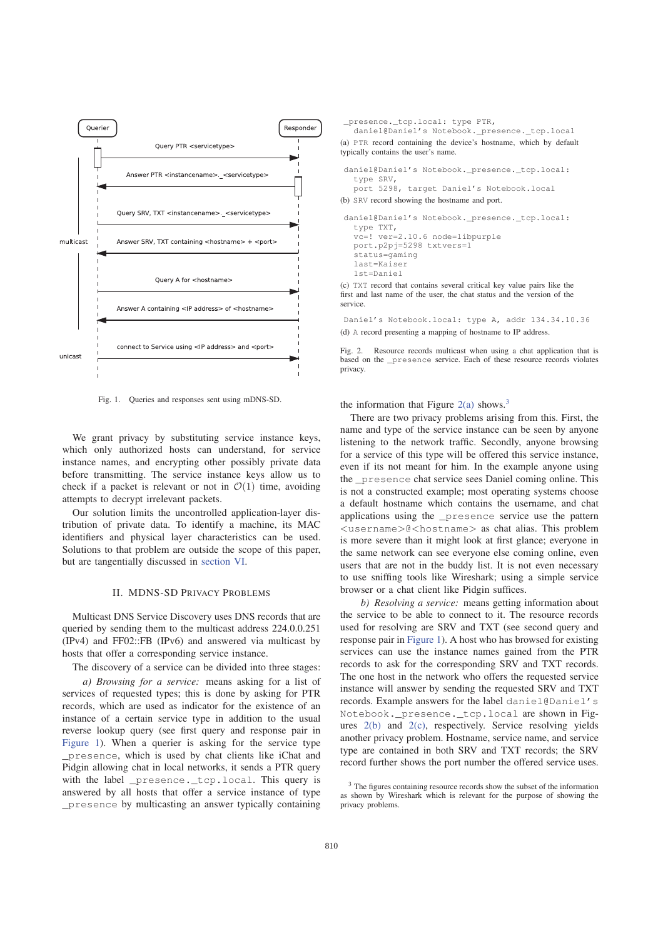

Fig. 1. Queries and responses sent using mDNS-SD.

We grant privacy by substituting service instance keys, which only authorized hosts can understand, for service instance names, and encrypting other possibly private data before transmitting. The service instance keys allow us to check if a packet is relevant or not in  $\mathcal{O}(1)$  time, avoiding attempts to decrypt irrelevant packets.

Our solution limits the uncontrolled application-layer distribution of private data. To identify a machine, its MAC identifiers and physical layer characteristics can be used. Solutions to that problem are outside the scope of this paper, but are tangentially discussed in section VI.

## II. MDNS-SD PRIVACY PROBLEMS

Multicast DNS Service Discovery uses DNS records that are queried by sending them to the multicast address 224.0.0.251 (IPv4) and FF02::FB (IPv6) and answered via multicast by hosts that offer a corresponding service instance.

The discovery of a service can be divided into three stages:

*a) Browsing for a service:* means asking for a list of services of requested types; this is done by asking for PTR records, which are used as indicator for the existence of an instance of a certain service type in addition to the usual reverse lookup query (see first query and response pair in Figure 1). When a querier is asking for the service type \_presence, which is used by chat clients like iChat and Pidgin allowing chat in local networks, it sends a PTR query with the label \_presence.\_tcp.local. This query is answered by all hosts that offer a service instance of type \_presence by multicasting an answer typically containing

\_presence.\_tcp.local: type PTR, daniel@Daniel's Notebook.\_presence.\_tcp.local (a) PTR record containing the device's hostname, which by default typically contains the user's name. daniel@Daniel's Notebook.\_presence.\_tcp.local: type SRV, port 5298, target Daniel's Notebook.local (b) SRV record showing the hostname and port.

```
daniel@Daniel's Notebook._presence._tcp.local:
   type TXT,
   vc=! ver=2.10.6 node=libpurple
   port.p2pj=5298 txtvers=1
   status=gaming
   last=Kaiser
   1st=Daniel
(c) TXT record that contains several critical key value pairs like the
```
first and last name of the user, the chat status and the version of the service.

Daniel's Notebook.local: type A, addr 134.34.10.36 (d) A record presenting a mapping of hostname to IP address.

Fig. 2. Resource records multicast when using a chat application that is based on the \_presence service. Each of these resource records violates privacy.

the information that Figure  $2(a)$  shows.<sup>3</sup>

There are two privacy problems arising from this. First, the name and type of the service instance can be seen by anyone listening to the network traffic. Secondly, anyone browsing for a service of this type will be offered this service instance, even if its not meant for him. In the example anyone using the \_presence chat service sees Daniel coming online. This is not a constructed example; most operating systems choose a default hostname which contains the username, and chat applications using the \_presence service use the pattern <username>@<hostname> as chat alias. This problem is more severe than it might look at first glance; everyone in the same network can see everyone else coming online, even users that are not in the buddy list. It is not even necessary to use sniffing tools like Wireshark; using a simple service browser or a chat client like Pidgin suffices.

*b) Resolving a service:* means getting information about the service to be able to connect to it. The resource records used for resolving are SRV and TXT (see second query and response pair in Figure 1). A host who has browsed for existing services can use the instance names gained from the PTR records to ask for the corresponding SRV and TXT records. The one host in the network who offers the requested service instance will answer by sending the requested SRV and TXT records. Example answers for the label daniel@Daniel's Notebook.\_presence.\_tcp.local are shown in Figures 2(b) and 2(c), respectively. Service resolving yields another privacy problem. Hostname, service name, and service type are contained in both SRV and TXT records; the SRV record further shows the port number the offered service uses.

<sup>3</sup> The figures containing resource records show the subset of the information as shown by Wireshark which is relevant for the purpose of showing the privacy problems.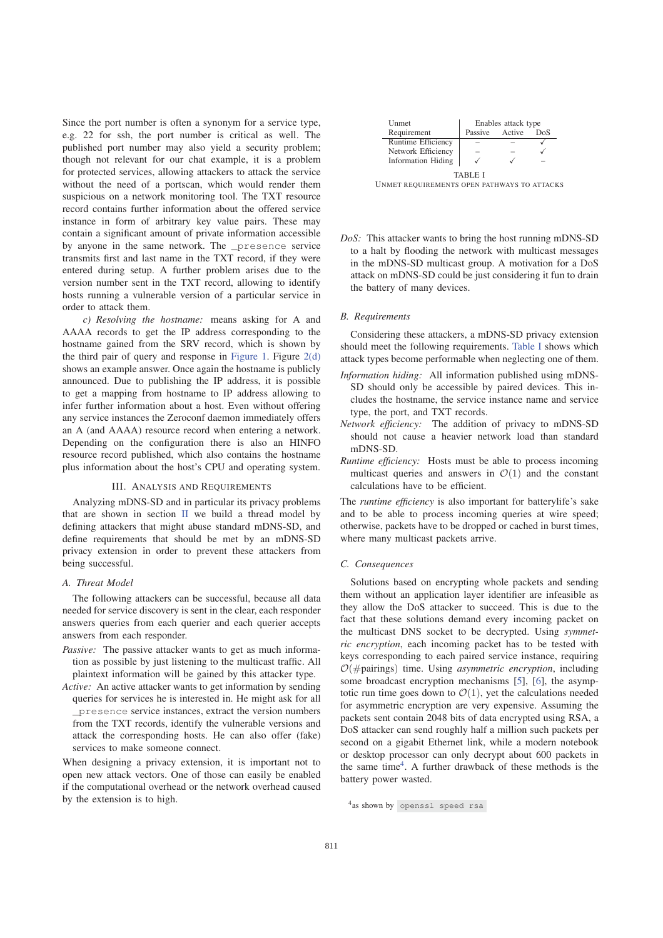Since the port number is often a synonym for a service type, e.g. 22 for ssh, the port number is critical as well. The published port number may also yield a security problem; though not relevant for our chat example, it is a problem for protected services, allowing attackers to attack the service without the need of a portscan, which would render them suspicious on a network monitoring tool. The TXT resource record contains further information about the offered service instance in form of arbitrary key value pairs. These may contain a significant amount of private information accessible by anyone in the same network. The \_presence service transmits first and last name in the TXT record, if they were entered during setup. A further problem arises due to the version number sent in the TXT record, allowing to identify hosts running a vulnerable version of a particular service in order to attack them.

*c) Resolving the hostname:* means asking for A and AAAA records to get the IP address corresponding to the hostname gained from the SRV record, which is shown by the third pair of query and response in Figure 1. Figure  $2(d)$ shows an example answer. Once again the hostname is publicly announced. Due to publishing the IP address, it is possible to get a mapping from hostname to IP address allowing to infer further information about a host. Even without offering any service instances the Zeroconf daemon immediately offers an A (and AAAA) resource record when entering a network. Depending on the configuration there is also an HINFO resource record published, which also contains the hostname plus information about the host's CPU and operating system.

#### III. ANALYSIS AND REQUIREMENTS

Analyzing mDNS-SD and in particular its privacy problems that are shown in section II we build a thread model by defining attackers that might abuse standard mDNS-SD, and define requirements that should be met by an mDNS-SD privacy extension in order to prevent these attackers from being successful.

# *A. Threat Model*

The following attackers can be successful, because all data needed for service discovery is sent in the clear, each responder answers queries from each querier and each querier accepts answers from each responder.

- *Passive:* The passive attacker wants to get as much information as possible by just listening to the multicast traffic. All plaintext information will be gained by this attacker type.
- *Active:* An active attacker wants to get information by sending queries for services he is interested in. He might ask for all \_presence service instances, extract the version numbers from the TXT records, identify the vulnerable versions and attack the corresponding hosts. He can also offer (fake) services to make someone connect.

When designing a privacy extension, it is important not to open new attack vectors. One of those can easily be enabled if the computational overhead or the network overhead caused by the extension is to high.

| Unmet                     | Enables attack type |        |     |
|---------------------------|---------------------|--------|-----|
| Requirement               | Passive             | Active | DoS |
| Runtime Efficiency        |                     |        |     |
| Network Efficiency        |                     |        |     |
| <b>Information Hiding</b> |                     |        |     |
| TARLE I                   |                     |        |     |

UNMET REQUIREMENTS OPEN PATHWAYS TO ATTACKS

*DoS:* This attacker wants to bring the host running mDNS-SD to a halt by flooding the network with multicast messages in the mDNS-SD multicast group. A motivation for a DoS attack on mDNS-SD could be just considering it fun to drain the battery of many devices.

# *B. Requirements*

Considering these attackers, a mDNS-SD privacy extension should meet the following requirements. Table I shows which attack types become performable when neglecting one of them.

- *Information hiding:* All information published using mDNS-SD should only be accessible by paired devices. This includes the hostname, the service instance name and service type, the port, and TXT records.
- *Network efficiency:* The addition of privacy to mDNS-SD should not cause a heavier network load than standard mDNS-SD.
- *Runtime efficiency:* Hosts must be able to process incoming multicast queries and answers in  $\mathcal{O}(1)$  and the constant calculations have to be efficient.

The *runtime efficiency* is also important for batterylife's sake and to be able to process incoming queries at wire speed; otherwise, packets have to be dropped or cached in burst times, where many multicast packets arrive.

#### *C. Consequences*

Solutions based on encrypting whole packets and sending them without an application layer identifier are infeasible as they allow the DoS attacker to succeed. This is due to the fact that these solutions demand every incoming packet on the multicast DNS socket to be decrypted. Using *symmetric encryption*, each incoming packet has to be tested with keys corresponding to each paired service instance, requiring O(#pairings) time. Using *asymmetric encryption*, including some broadcast encryption mechanisms [5], [6], the asymptotic run time goes down to  $\mathcal{O}(1)$ , yet the calculations needed for asymmetric encryption are very expensive. Assuming the packets sent contain 2048 bits of data encrypted using RSA, a DoS attacker can send roughly half a million such packets per second on a gigabit Ethernet link, while a modern notebook or desktop processor can only decrypt about 600 packets in the same time<sup>4</sup>. A further drawback of these methods is the battery power wasted.

<sup>4</sup>as shown by openssl speed rsa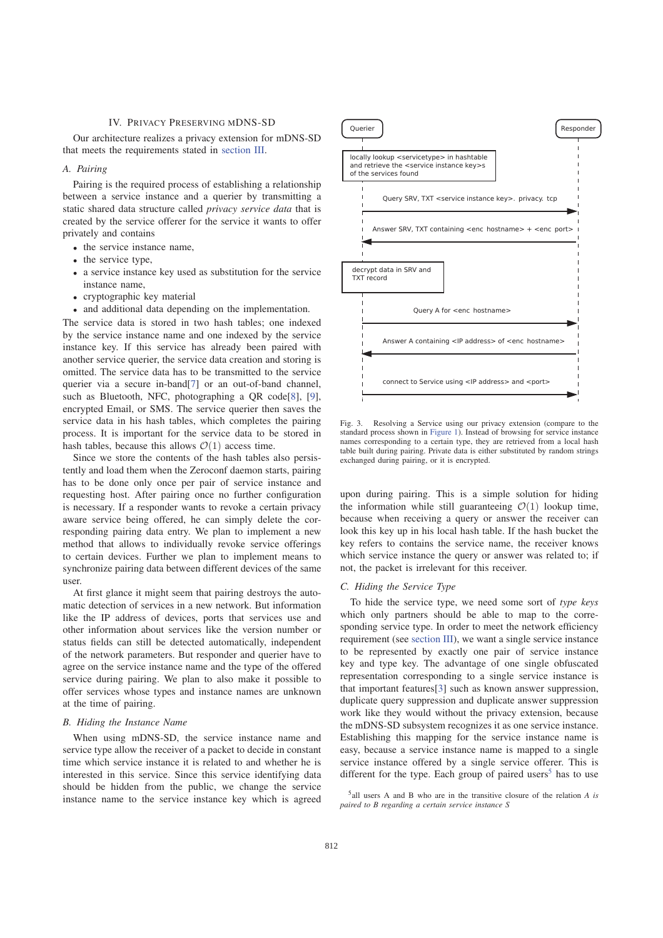## IV. PRIVACY PRESERVING MDNS-SD

Our architecture realizes a privacy extension for mDNS-SD that meets the requirements stated in section III.

# *A. Pairing*

Pairing is the required process of establishing a relationship between a service instance and a querier by transmitting a static shared data structure called *privacy service data* that is created by the service offerer for the service it wants to offer privately and contains

- the service instance name,
- the service type,
- a service instance key used as substitution for the service instance name,
- cryptographic key material
- and additional data depending on the implementation.

The service data is stored in two hash tables; one indexed by the service instance name and one indexed by the service instance key. If this service has already been paired with another service querier, the service data creation and storing is omitted. The service data has to be transmitted to the service querier via a secure in-band[7] or an out-of-band channel, such as Bluetooth, NFC, photographing a QR code[8], [9], encrypted Email, or SMS. The service querier then saves the service data in his hash tables, which completes the pairing process. It is important for the service data to be stored in hash tables, because this allows  $\mathcal{O}(1)$  access time.

Since we store the contents of the hash tables also persistently and load them when the Zeroconf daemon starts, pairing has to be done only once per pair of service instance and requesting host. After pairing once no further configuration is necessary. If a responder wants to revoke a certain privacy aware service being offered, he can simply delete the corresponding pairing data entry. We plan to implement a new method that allows to individually revoke service offerings to certain devices. Further we plan to implement means to synchronize pairing data between different devices of the same user.

At first glance it might seem that pairing destroys the automatic detection of services in a new network. But information like the IP address of devices, ports that services use and other information about services like the version number or status fields can still be detected automatically, independent of the network parameters. But responder and querier have to agree on the service instance name and the type of the offered service during pairing. We plan to also make it possible to offer services whose types and instance names are unknown at the time of pairing.

#### *B. Hiding the Instance Name*

When using mDNS-SD, the service instance name and service type allow the receiver of a packet to decide in constant time which service instance it is related to and whether he is interested in this service. Since this service identifying data should be hidden from the public, we change the service instance name to the service instance key which is agreed



Fig. 3. Resolving a Service using our privacy extension (compare to the standard process shown in Figure 1). Instead of browsing for service instance names corresponding to a certain type, they are retrieved from a local hash table built during pairing. Private data is either substituted by random strings exchanged during pairing, or it is encrypted.

upon during pairing. This is a simple solution for hiding the information while still guaranteeing  $\mathcal{O}(1)$  lookup time, because when receiving a query or answer the receiver can look this key up in his local hash table. If the hash bucket the key refers to contains the service name, the receiver knows which service instance the query or answer was related to; if not, the packet is irrelevant for this receiver.

#### *C. Hiding the Service Type*

To hide the service type, we need some sort of *type keys* which only partners should be able to map to the corresponding service type. In order to meet the network efficiency requirement (see section III), we want a single service instance to be represented by exactly one pair of service instance key and type key. The advantage of one single obfuscated representation corresponding to a single service instance is that important features[3] such as known answer suppression, duplicate query suppression and duplicate answer suppression work like they would without the privacy extension, because the mDNS-SD subsystem recognizes it as one service instance. Establishing this mapping for the service instance name is easy, because a service instance name is mapped to a single service instance offered by a single service offerer. This is different for the type. Each group of paired users<sup>5</sup> has to use

<sup>5</sup>all users A and B who are in the transitive closure of the relation *A is paired to B regarding a certain service instance S*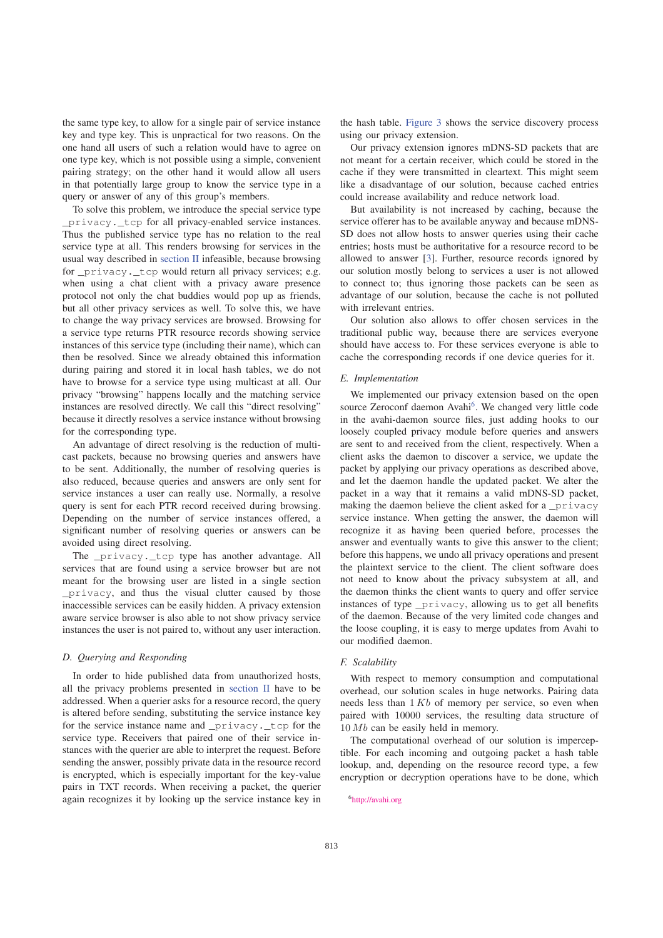the same type key, to allow for a single pair of service instance key and type key. This is unpractical for two reasons. On the one hand all users of such a relation would have to agree on one type key, which is not possible using a simple, convenient pairing strategy; on the other hand it would allow all users in that potentially large group to know the service type in a query or answer of any of this group's members.

To solve this problem, we introduce the special service type privacy. tcp for all privacy-enabled service instances. Thus the published service type has no relation to the real service type at all. This renders browsing for services in the usual way described in section II infeasible, because browsing for \_privacy.\_tcp would return all privacy services; e.g. when using a chat client with a privacy aware presence protocol not only the chat buddies would pop up as friends, but all other privacy services as well. To solve this, we have to change the way privacy services are browsed. Browsing for a service type returns PTR resource records showing service instances of this service type (including their name), which can then be resolved. Since we already obtained this information during pairing and stored it in local hash tables, we do not have to browse for a service type using multicast at all. Our privacy "browsing" happens locally and the matching service instances are resolved directly. We call this "direct resolving" because it directly resolves a service instance without browsing for the corresponding type.

An advantage of direct resolving is the reduction of multicast packets, because no browsing queries and answers have to be sent. Additionally, the number of resolving queries is also reduced, because queries and answers are only sent for service instances a user can really use. Normally, a resolve query is sent for each PTR record received during browsing. Depending on the number of service instances offered, a significant number of resolving queries or answers can be avoided using direct resolving.

The privacy. tcp type has another advantage. All services that are found using a service browser but are not meant for the browsing user are listed in a single section \_privacy, and thus the visual clutter caused by those inaccessible services can be easily hidden. A privacy extension aware service browser is also able to not show privacy service instances the user is not paired to, without any user interaction.

# *D. Querying and Responding*

In order to hide published data from unauthorized hosts, all the privacy problems presented in section II have to be addressed. When a querier asks for a resource record, the query is altered before sending, substituting the service instance key for the service instance name and \_privacy.\_tcp for the service type. Receivers that paired one of their service instances with the querier are able to interpret the request. Before sending the answer, possibly private data in the resource record is encrypted, which is especially important for the key-value pairs in TXT records. When receiving a packet, the querier again recognizes it by looking up the service instance key in the hash table. Figure 3 shows the service discovery process using our privacy extension.

Our privacy extension ignores mDNS-SD packets that are not meant for a certain receiver, which could be stored in the cache if they were transmitted in cleartext. This might seem like a disadvantage of our solution, because cached entries could increase availability and reduce network load.

But availability is not increased by caching, because the service offerer has to be available anyway and because mDNS-SD does not allow hosts to answer queries using their cache entries; hosts must be authoritative for a resource record to be allowed to answer [3]. Further, resource records ignored by our solution mostly belong to services a user is not allowed to connect to; thus ignoring those packets can be seen as advantage of our solution, because the cache is not polluted with irrelevant entries.

Our solution also allows to offer chosen services in the traditional public way, because there are services everyone should have access to. For these services everyone is able to cache the corresponding records if one device queries for it.

## *E. Implementation*

We implemented our privacy extension based on the open source Zeroconf daemon Avahi<sup>6</sup>. We changed very little code in the avahi-daemon source files, just adding hooks to our loosely coupled privacy module before queries and answers are sent to and received from the client, respectively. When a client asks the daemon to discover a service, we update the packet by applying our privacy operations as described above, and let the daemon handle the updated packet. We alter the packet in a way that it remains a valid mDNS-SD packet, making the daemon believe the client asked for a \_privacy service instance. When getting the answer, the daemon will recognize it as having been queried before, processes the answer and eventually wants to give this answer to the client; before this happens, we undo all privacy operations and present the plaintext service to the client. The client software does not need to know about the privacy subsystem at all, and the daemon thinks the client wants to query and offer service instances of type \_privacy, allowing us to get all benefits of the daemon. Because of the very limited code changes and the loose coupling, it is easy to merge updates from Avahi to our modified daemon.

# *F. Scalability*

With respect to memory consumption and computational overhead, our solution scales in huge networks. Pairing data needs less than  $1 Kb$  of memory per service, so even when paired with 10000 services, the resulting data structure of  $10 Mb$  can be easily held in memory.

The computational overhead of our solution is imperceptible. For each incoming and outgoing packet a hash table lookup, and, depending on the resource record type, a few encryption or decryption operations have to be done, which

6http://avahi.org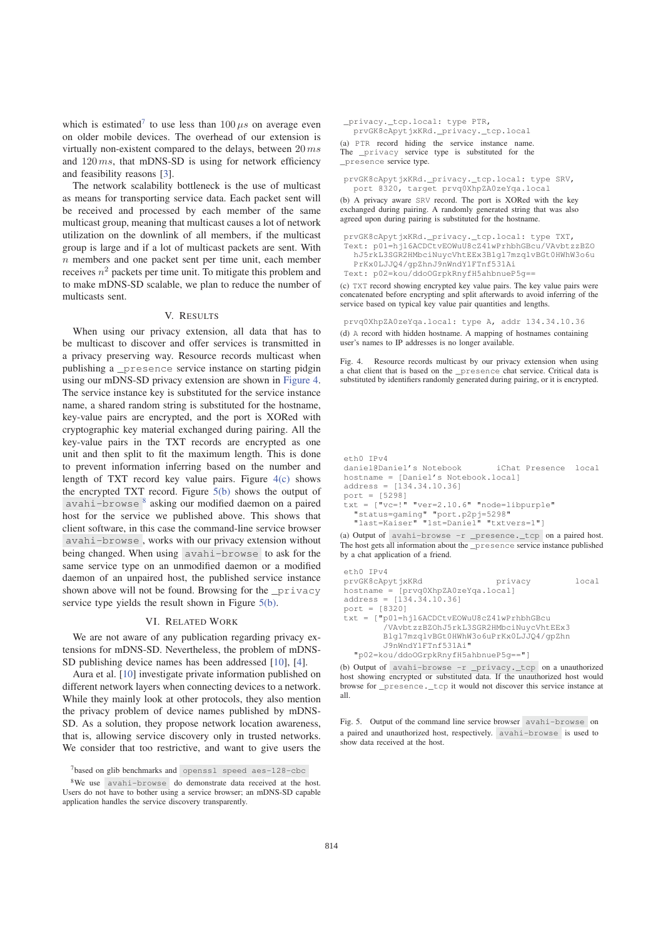which is estimated<sup>7</sup> to use less than  $100 \mu s$  on average even on older mobile devices. The overhead of our extension is virtually non-existent compared to the delays, between  $20\,ms$ and  $120 \, ms$ , that mDNS-SD is using for network efficiency and feasibility reasons [3].

The network scalability bottleneck is the use of multicast as means for transporting service data. Each packet sent will be received and processed by each member of the same multicast group, meaning that multicast causes a lot of network utilization on the downlink of all members, if the multicast group is large and if a lot of multicast packets are sent. With n members and one packet sent per time unit, each member receives  $n^2$  packets per time unit. To mitigate this problem and to make mDNS-SD scalable, we plan to reduce the number of multicasts sent.

# V. RESULTS

When using our privacy extension, all data that has to be multicast to discover and offer services is transmitted in a privacy preserving way. Resource records multicast when publishing a \_presence service instance on starting pidgin using our mDNS-SD privacy extension are shown in Figure 4. The service instance key is substituted for the service instance name, a shared random string is substituted for the hostname, key-value pairs are encrypted, and the port is XORed with cryptographic key material exchanged during pairing. All the key-value pairs in the TXT records are encrypted as one unit and then split to fit the maximum length. This is done to prevent information inferring based on the number and length of TXT record key value pairs. Figure 4(c) shows the encrypted TXT record. Figure 5(b) shows the output of avahi-browse  $\frac{8}{3}$  asking our modified daemon on a paired host for the service we published above. This shows that client software, in this case the command-line service browser avahi-browse , works with our privacy extension without being changed. When using avahi-browse to ask for the same service type on an unmodified daemon or a modified daemon of an unpaired host, the published service instance shown above will not be found. Browsing for the \_privacy service type yields the result shown in Figure 5(b).

#### VI. RELATED WORK

We are not aware of any publication regarding privacy extensions for mDNS-SD. Nevertheless, the problem of mDNS-SD publishing device names has been addressed [10], [4].

Aura et al. [10] investigate private information published on different network layers when connecting devices to a network. While they mainly look at other protocols, they also mention the privacy problem of device names published by mDNS-SD. As a solution, they propose network location awareness, that is, allowing service discovery only in trusted networks. We consider that too restrictive, and want to give users the

```
_privacy._tcp.local: type PTR,
  prvGK8cApytjxKRd._privacy._tcp.local
(a) PTR record hiding the service instance name.
The _privacy service type is substituted for the
_presence service type.
```

```
prvGK8cApytjxKRd._privacy._tcp.local: type SRV,
  port 8320, target prvq0XhpZA0zeYqa.local
```
(b) A privacy aware SRV record. The port is XORed with the key exchanged during pairing. A randomly generated string that was also agreed upon during pairing is substituted for the hostname.

```
prvGK8cApytjxKRd._privacy._tcp.local: type TXT,
Text: p01=hjl6ACDCtvEOWuU8cZ41wPrhbhGBcu/VAvbtzzBZO
  hJ5rkL3SGR2HMbciNuycVhtEEx3Blgl7mzqlvBGt0HWhW3o6u
```
PrKx0LJJQ4/gpZhnJ9nWndY1FTnf531Ai

```
Text: p02=kou/ddoOGrpkRnyfH5ahbnueP5g==
```
(c) TXT record showing encrypted key value pairs. The key value pairs were concatenated before encrypting and split afterwards to avoid inferring of the service based on typical key value pair quantities and lengths.

prvq0XhpZA0zeYqa.local: type A, addr 134.34.10.36 (d) A record with hidden hostname. A mapping of hostnames containing user's names to IP addresses is no longer available.

Fig. 4. Resource records multicast by our privacy extension when using a chat client that is based on the \_presence chat service. Critical data is substituted by identifiers randomly generated during pairing, or it is encrypted.

```
eth0 IPv4
daniel@Daniel's Notebook iChat Presence local
hostname = [Daniel's Notebook.local]
address = [134.34.10.36]
port = [5298]
txt = ["vc=!" "ver=2.10.6" "node=libpurple"
  "status=gaming" "port.p2pj=5298"
  "last=Kaiser" "1st=Daniel" "txtvers=1"]
```
(a) Output of avahi-browse -r \_presence.\_tcp on a paired host. The host gets all information about the \_presence service instance published by a chat application of a friend.

```
eth0 IPv4
prvGK8cApytjxKRd privacy local
hostname = [prvq0XhpZA0zeYqa.local]
address = [134.34.10.36]port = [8320]
txt = ["p01=hjl6ACDCtvEOWuU8cZ41wPrhbhGBcu
       /VAvbtzzBZOhJ5rkL3SGR2HMbciNuycVhtEEx3
       Blgl7mzqlvBGt0HWhW3o6uPrKx0LJJQ4/gpZhn
       J9nWndY1FTnf531Ai"
 "p02=kou/ddoOGrpkRnyfH5ahbnueP5g=="]
```
(b) Output of avahi-browse -r \_privacy.\_tcp on a unauthorized host showing encrypted or substituted data. If the unauthorized host would browse for \_presence.\_tcp it would not discover this service instance at all.

Fig. 5. Output of the command line service browser avahi-browse on a paired and unauthorized host, respectively. avahi-browse is used to show data received at the host.

<sup>7</sup>based on glib benchmarks and openssl speed aes-128-cbc

<sup>8</sup>We use avahi-browse do demonstrate data received at the host. Users do not have to bother using a service browser; an mDNS-SD capable application handles the service discovery transparently.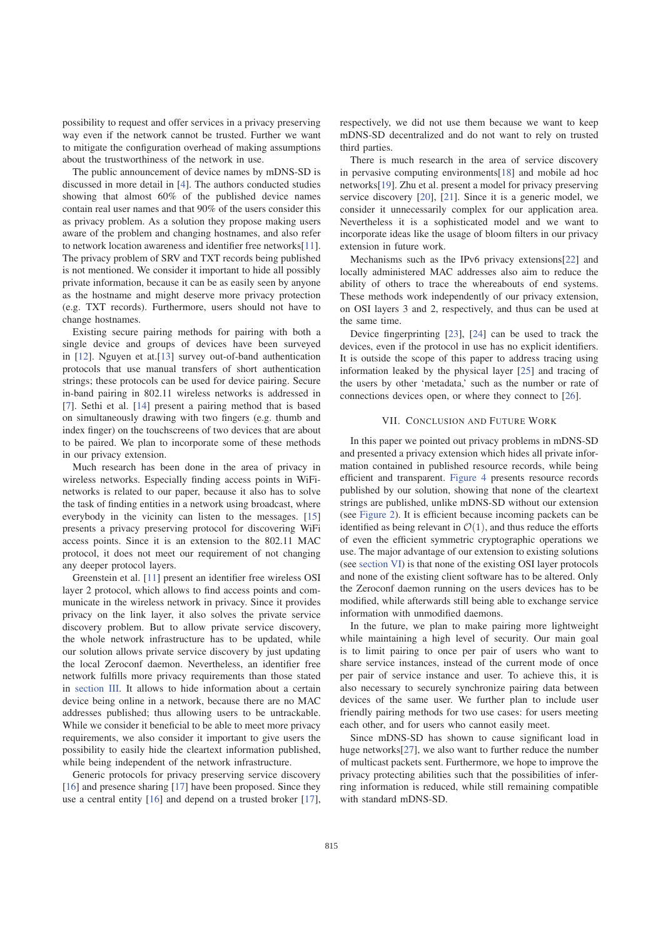possibility to request and offer services in a privacy preserving way even if the network cannot be trusted. Further we want to mitigate the configuration overhead of making assumptions about the trustworthiness of the network in use.

The public announcement of device names by mDNS-SD is discussed in more detail in [4]. The authors conducted studies showing that almost 60% of the published device names contain real user names and that 90% of the users consider this as privacy problem. As a solution they propose making users aware of the problem and changing hostnames, and also refer to network location awareness and identifier free networks[11]. The privacy problem of SRV and TXT records being published is not mentioned. We consider it important to hide all possibly private information, because it can be as easily seen by anyone as the hostname and might deserve more privacy protection (e.g. TXT records). Furthermore, users should not have to change hostnames.

Existing secure pairing methods for pairing with both a single device and groups of devices have been surveyed in [12]. Nguyen et at.[13] survey out-of-band authentication protocols that use manual transfers of short authentication strings; these protocols can be used for device pairing. Secure in-band pairing in 802.11 wireless networks is addressed in [7]. Sethi et al. [14] present a pairing method that is based on simultaneously drawing with two fingers (e.g. thumb and index finger) on the touchscreens of two devices that are about to be paired. We plan to incorporate some of these methods in our privacy extension.

Much research has been done in the area of privacy in wireless networks. Especially finding access points in WiFinetworks is related to our paper, because it also has to solve the task of finding entities in a network using broadcast, where everybody in the vicinity can listen to the messages. [15] presents a privacy preserving protocol for discovering WiFi access points. Since it is an extension to the 802.11 MAC protocol, it does not meet our requirement of not changing any deeper protocol layers.

Greenstein et al. [11] present an identifier free wireless OSI layer 2 protocol, which allows to find access points and communicate in the wireless network in privacy. Since it provides privacy on the link layer, it also solves the private service discovery problem. But to allow private service discovery, the whole network infrastructure has to be updated, while our solution allows private service discovery by just updating the local Zeroconf daemon. Nevertheless, an identifier free network fulfills more privacy requirements than those stated in section III. It allows to hide information about a certain device being online in a network, because there are no MAC addresses published; thus allowing users to be untrackable. While we consider it beneficial to be able to meet more privacy requirements, we also consider it important to give users the possibility to easily hide the cleartext information published, while being independent of the network infrastructure.

Generic protocols for privacy preserving service discovery [16] and presence sharing [17] have been proposed. Since they use a central entity [16] and depend on a trusted broker [17], respectively, we did not use them because we want to keep mDNS-SD decentralized and do not want to rely on trusted third parties.

There is much research in the area of service discovery in pervasive computing environments[18] and mobile ad hoc networks[19]. Zhu et al. present a model for privacy preserving service discovery [20], [21]. Since it is a generic model, we consider it unnecessarily complex for our application area. Nevertheless it is a sophisticated model and we want to incorporate ideas like the usage of bloom filters in our privacy extension in future work.

Mechanisms such as the IPv6 privacy extensions[22] and locally administered MAC addresses also aim to reduce the ability of others to trace the whereabouts of end systems. These methods work independently of our privacy extension, on OSI layers 3 and 2, respectively, and thus can be used at the same time.

Device fingerprinting [23], [24] can be used to track the devices, even if the protocol in use has no explicit identifiers. It is outside the scope of this paper to address tracing using information leaked by the physical layer [25] and tracing of the users by other 'metadata,' such as the number or rate of connections devices open, or where they connect to [26].

# VII. CONCLUSION AND FUTURE WORK

In this paper we pointed out privacy problems in mDNS-SD and presented a privacy extension which hides all private information contained in published resource records, while being efficient and transparent. Figure 4 presents resource records published by our solution, showing that none of the cleartext strings are published, unlike mDNS-SD without our extension (see Figure 2). It is efficient because incoming packets can be identified as being relevant in  $\mathcal{O}(1)$ , and thus reduce the efforts of even the efficient symmetric cryptographic operations we use. The major advantage of our extension to existing solutions (see section VI) is that none of the existing OSI layer protocols and none of the existing client software has to be altered. Only the Zeroconf daemon running on the users devices has to be modified, while afterwards still being able to exchange service information with unmodified daemons.

In the future, we plan to make pairing more lightweight while maintaining a high level of security. Our main goal is to limit pairing to once per pair of users who want to share service instances, instead of the current mode of once per pair of service instance and user. To achieve this, it is also necessary to securely synchronize pairing data between devices of the same user. We further plan to include user friendly pairing methods for two use cases: for users meeting each other, and for users who cannot easily meet.

Since mDNS-SD has shown to cause significant load in huge networks[27], we also want to further reduce the number of multicast packets sent. Furthermore, we hope to improve the privacy protecting abilities such that the possibilities of inferring information is reduced, while still remaining compatible with standard mDNS-SD.